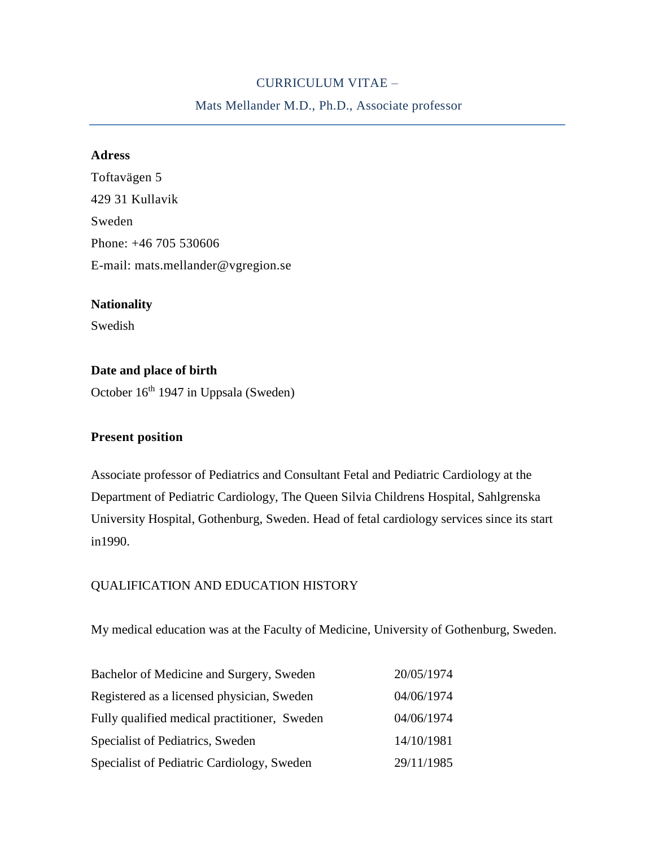# CURRICULUM VITAE –

Mats Mellander M.D., Ph.D., Associate professor

# **Adress**

Toftavägen 5 429 31 Kullavik Sweden Phone: +46 705 530606 E-mail: mats.mellander@vgregion.se

### **Nationality**

Swedish

# **Date and place of birth** October 16<sup>th</sup> 1947 in Uppsala (Sweden)

### **Present position**

Associate professor of Pediatrics and Consultant Fetal and Pediatric Cardiology at the Department of Pediatric Cardiology, The Queen Silvia Childrens Hospital, Sahlgrenska University Hospital, Gothenburg, Sweden. Head of fetal cardiology services since its start in1990.

### QUALIFICATION AND EDUCATION HISTORY

My medical education was at the Faculty of Medicine, University of Gothenburg, Sweden.

| Bachelor of Medicine and Surgery, Sweden     | 20/05/1974 |
|----------------------------------------------|------------|
| Registered as a licensed physician, Sweden   | 04/06/1974 |
| Fully qualified medical practitioner, Sweden | 04/06/1974 |
| Specialist of Pediatrics, Sweden             | 14/10/1981 |
| Specialist of Pediatric Cardiology, Sweden   | 29/11/1985 |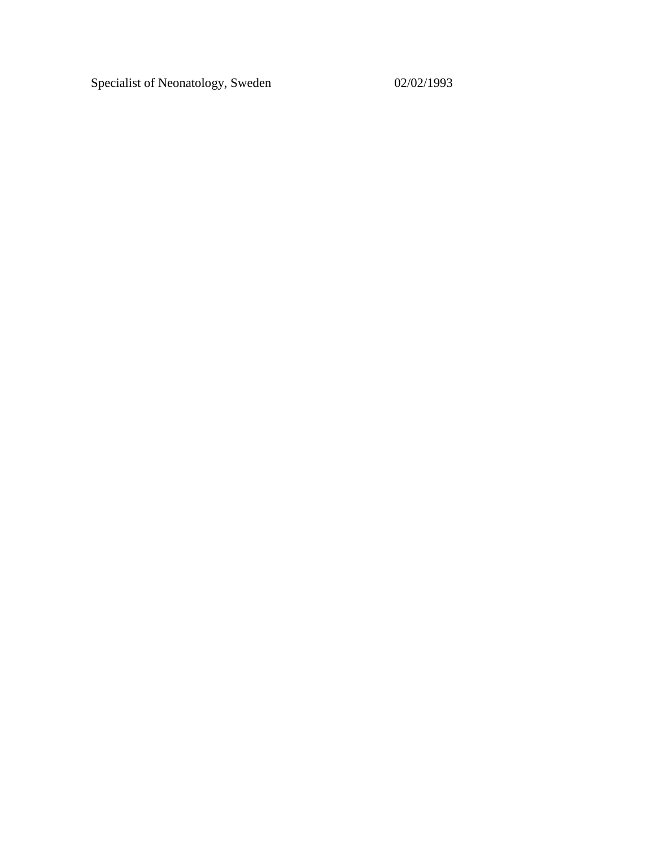Specialist of Neonatology, Sweden 02/02/1993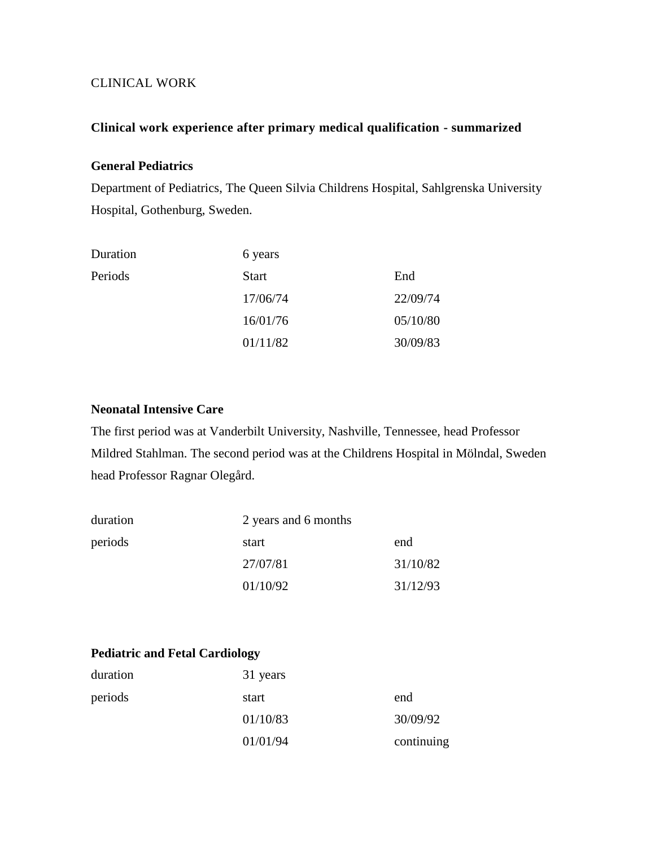### CLINICAL WORK

#### **Clinical work experience after primary medical qualification - summarized**

# **General Pediatrics**

Department of Pediatrics, The Queen Silvia Childrens Hospital, Sahlgrenska University Hospital, Gothenburg, Sweden.

| Duration | 6 years      |          |
|----------|--------------|----------|
| Periods  | <b>Start</b> | End      |
|          | 17/06/74     | 22/09/74 |
|          | 16/01/76     | 05/10/80 |
|          | 01/11/82     | 30/09/83 |

### **Neonatal Intensive Care**

The first period was at Vanderbilt University, Nashville, Tennessee, head Professor Mildred Stahlman. The second period was at the Childrens Hospital in Mölndal, Sweden head Professor Ragnar Olegård.

| duration |          | 2 years and 6 months |  |  |
|----------|----------|----------------------|--|--|
| periods  | start    | end                  |  |  |
|          | 27/07/81 | 31/10/82             |  |  |
|          | 01/10/92 | 31/12/93             |  |  |

# **Pediatric and Fetal Cardiology**

| duration | 31 years |            |
|----------|----------|------------|
| periods  | start    | end        |
|          | 01/10/83 | 30/09/92   |
|          | 01/01/94 | continuing |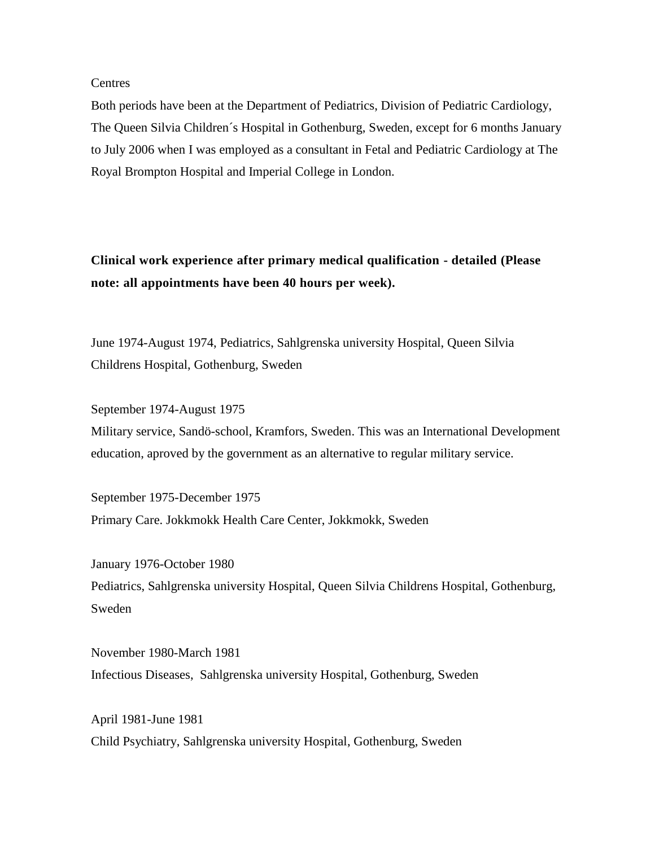#### **Centres**

Both periods have been at the Department of Pediatrics, Division of Pediatric Cardiology, The Queen Silvia Children´s Hospital in Gothenburg, Sweden, except for 6 months January to July 2006 when I was employed as a consultant in Fetal and Pediatric Cardiology at The Royal Brompton Hospital and Imperial College in London.

**Clinical work experience after primary medical qualification - detailed (Please note: all appointments have been 40 hours per week).**

June 1974-August 1974, Pediatrics, Sahlgrenska university Hospital, Queen Silvia Childrens Hospital, Gothenburg, Sweden

September 1974-August 1975

Military service, Sandö-school, Kramfors, Sweden. This was an International Development education, aproved by the government as an alternative to regular military service.

September 1975-December 1975 Primary Care. Jokkmokk Health Care Center, Jokkmokk, Sweden

January 1976-October 1980 Pediatrics, Sahlgrenska university Hospital, Queen Silvia Childrens Hospital, Gothenburg, Sweden

November 1980-March 1981 Infectious Diseases, Sahlgrenska university Hospital, Gothenburg, Sweden

April 1981-June 1981 Child Psychiatry, Sahlgrenska university Hospital, Gothenburg, Sweden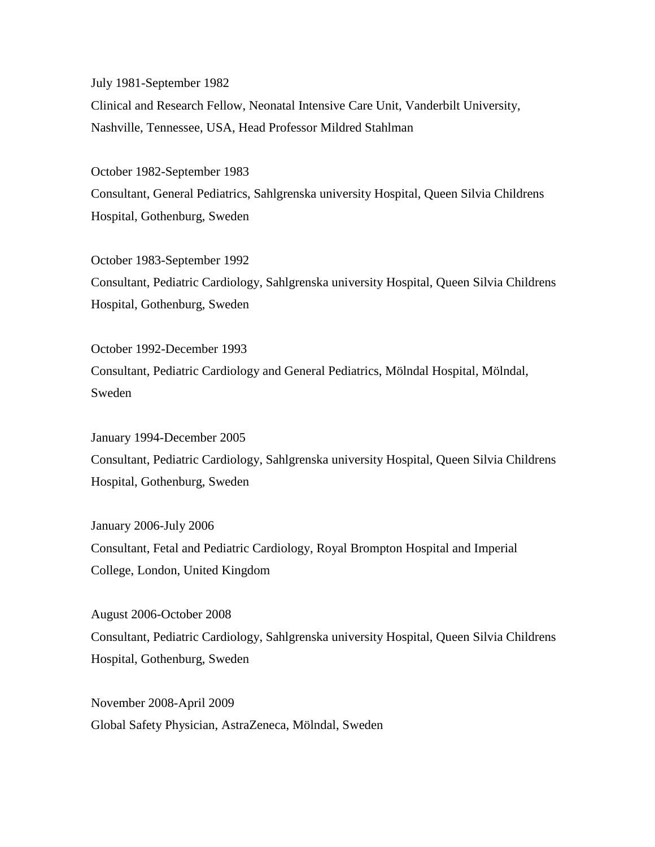July 1981-September 1982

Clinical and Research Fellow, Neonatal Intensive Care Unit, Vanderbilt University, Nashville, Tennessee, USA, Head Professor Mildred Stahlman

October 1982-September 1983 Consultant, General Pediatrics, Sahlgrenska university Hospital, Queen Silvia Childrens Hospital, Gothenburg, Sweden

October 1983-September 1992 Consultant, Pediatric Cardiology, Sahlgrenska university Hospital, Queen Silvia Childrens Hospital, Gothenburg, Sweden

October 1992-December 1993 Consultant, Pediatric Cardiology and General Pediatrics, Mölndal Hospital, Mölndal, Sweden

January 1994-December 2005 Consultant, Pediatric Cardiology, Sahlgrenska university Hospital, Queen Silvia Childrens Hospital, Gothenburg, Sweden

January 2006-July 2006 Consultant, Fetal and Pediatric Cardiology, Royal Brompton Hospital and Imperial College, London, United Kingdom

August 2006-October 2008 Consultant, Pediatric Cardiology, Sahlgrenska university Hospital, Queen Silvia Childrens Hospital, Gothenburg, Sweden

November 2008-April 2009 Global Safety Physician, AstraZeneca, Mölndal, Sweden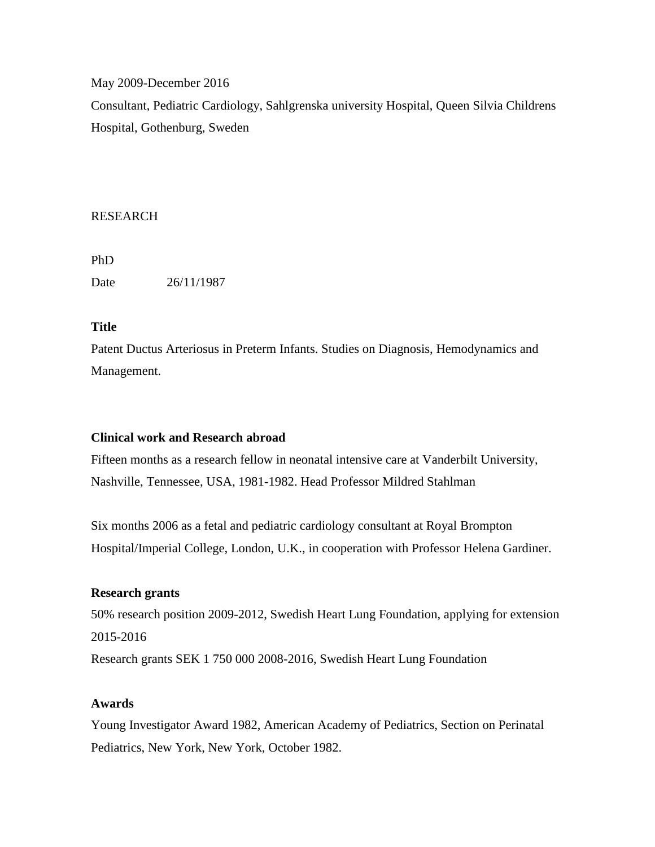May 2009-December 2016

Consultant, Pediatric Cardiology, Sahlgrenska university Hospital, Queen Silvia Childrens Hospital, Gothenburg, Sweden

# RESEARCH

PhD Date 26/11/1987

# **Title**

Patent Ductus Arteriosus in Preterm Infants. Studies on Diagnosis, Hemodynamics and Management.

# **Clinical work and Research abroad**

Fifteen months as a research fellow in neonatal intensive care at Vanderbilt University, Nashville, Tennessee, USA, 1981-1982. Head Professor Mildred Stahlman

Six months 2006 as a fetal and pediatric cardiology consultant at Royal Brompton Hospital/Imperial College, London, U.K., in cooperation with Professor Helena Gardiner.

# **Research grants**

50% research position 2009-2012, Swedish Heart Lung Foundation, applying for extension 2015-2016

Research grants SEK 1 750 000 2008-2016, Swedish Heart Lung Foundation

# **Awards**

Young Investigator Award 1982, American Academy of Pediatrics, Section on Perinatal Pediatrics, New York, New York, October 1982.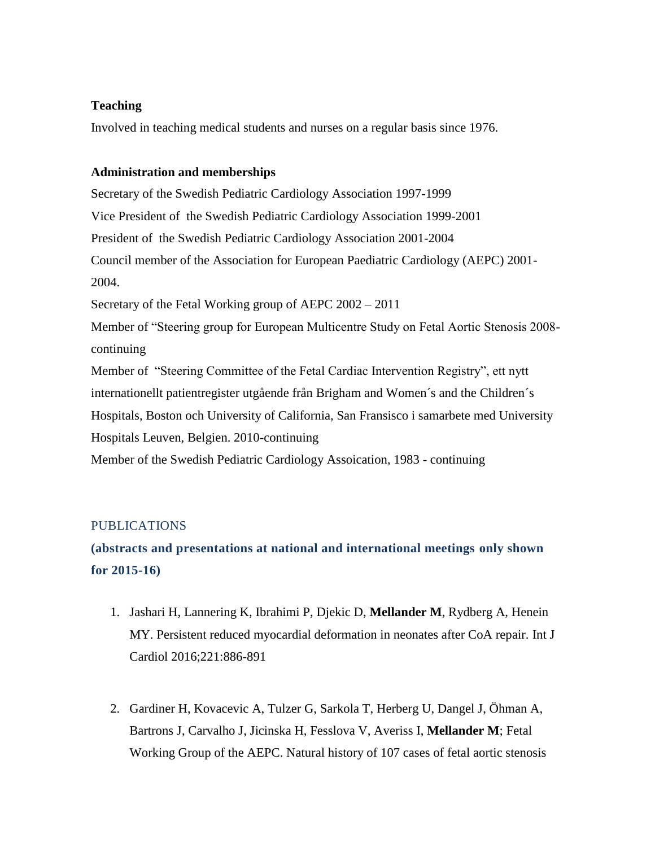# **Teaching**

Involved in teaching medical students and nurses on a regular basis since 1976.

# **Administration and memberships**

Secretary of the Swedish Pediatric Cardiology Association 1997-1999 Vice President of the Swedish Pediatric Cardiology Association 1999-2001 President of the Swedish Pediatric Cardiology Association 2001-2004 Council member of the Association for European Paediatric Cardiology (AEPC) 2001- 2004. Secretary of the Fetal Working group of AEPC 2002 – 2011 Member of "Steering group for European Multicentre Study on Fetal Aortic Stenosis 2008 continuing

Member of "Steering Committee of the Fetal Cardiac Intervention Registry", ett nytt internationellt patientregister utgående från Brigham and Women´s and the Children´s Hospitals, Boston och University of California, San Fransisco i samarbete med University Hospitals Leuven, Belgien. 2010-continuing

Member of the Swedish Pediatric Cardiology Assoication, 1983 - continuing

# PUBLICATIONS

# **(abstracts and presentations at national and international meetings only shown for 2015-16)**

- 1. Jashari H, Lannering K, Ibrahimi P, Djekic D, **Mellander M**, Rydberg A, Henein MY. Persistent reduced myocardial deformation in neonates after CoA repair. Int J Cardiol 2016;221:886-891
- 2. Gardiner H, Kovacevic A, Tulzer G, Sarkola T, Herberg U, Dangel J, Öhman A, Bartrons J, Carvalho J, Jicinska H, Fesslova V, Averiss I, **Mellander M**; Fetal Working Group of the AEPC. Natural history of 107 cases of fetal aortic stenosis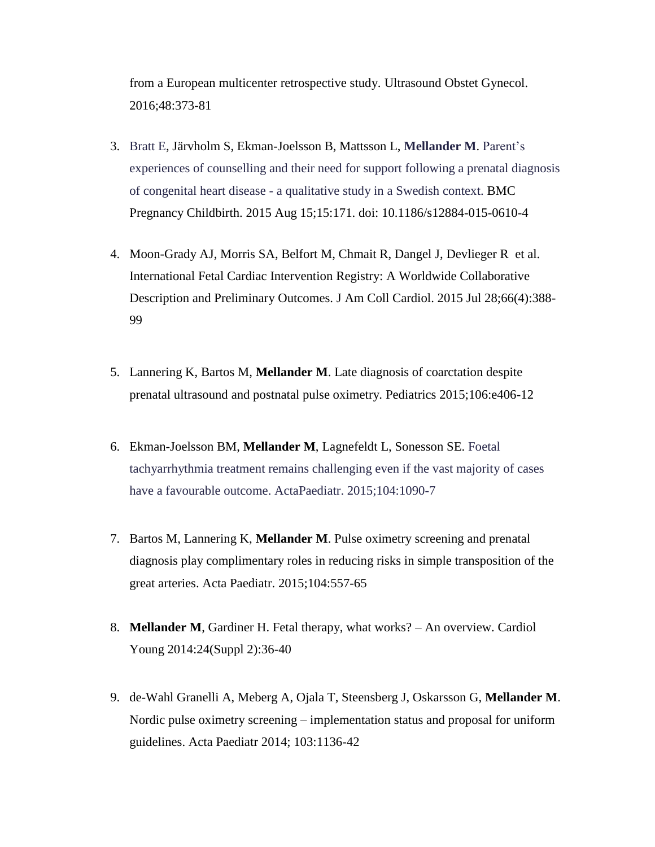from a European multicenter retrospective study. Ultrasound Obstet Gynecol. 2016;48:373-81

- 3. [Bratt E,](http://www.researchweb.org/is/vgr/user/html/3781) Järvholm S, Ekman-Joelsson B, Mattsson L, **[Mellander M](http://www.researchweb.org/is/vgr/user/html/1960)**. [Parent's](http://www.researchweb.org/is/vgr/project/publication?ref=2231551)  [experiences of counselling and their need for support following a prenatal diagnosis](http://www.researchweb.org/is/vgr/project/publication?ref=2231551)  of congenital heart disease - [a qualitative study in a Swedish context.](http://www.researchweb.org/is/vgr/project/publication?ref=2231551) BMC Pregnancy Childbirth. 2015 Aug 15;15:171. doi: 10.1186/s12884-015-0610-4
- 4. Moon-Grady AJ, Morris SA, Belfort M, Chmait R, Dangel J, Devlieger R et al. [International Fetal Cardiac Intervention](http://www.ncbi.nlm.nih.gov/pubmed/26205597) Registry: A Worldwide Collaborative [Description and Preliminary](http://www.ncbi.nlm.nih.gov/pubmed/26205597) Outcomes. J Am Coll Cardiol. 2015 Jul 28;66(4):388- 99
- 5. Lannering K, Bartos M, **Mellander M**. Late diagnosis of coarctation despite prenatal ultrasound and postnatal pulse oximetry. Pediatrics 2015;106:e406-12
- 6. Ekman-Joelsson BM, **Mellander M**, Lagnefeldt L, Sonesson SE. [Foetal](http://www.researchweb.org/is/vgr/project/publication?ref=2269811)  [tachyarrhythmia treatment remains challenging even if the vast majority](http://www.researchweb.org/is/vgr/project/publication?ref=2269811) of cases [have a favourable outcome.](http://www.researchweb.org/is/vgr/project/publication?ref=2269811) ActaPaediatr. 2015;104:1090-7
- 7. Bartos M, Lannering K, **Mellander M**. Pulse oximetry screening and prenatal diagnosis play complimentary roles in reducing risks in simple transposition of the great arteries. Acta Paediatr. 2015;104:557-65
- 8. **Mellander M**, Gardiner H. Fetal therapy, what works? An overview. Cardiol Young 2014:24(Suppl 2):36-40
- 9. de-Wahl Granelli A, Meberg A, Ojala T, Steensberg J, Oskarsson G, **Mellander M**. Nordic pulse oximetry screening – implementation status and proposal for uniform guidelines. Acta Paediatr 2014; 103:1136-42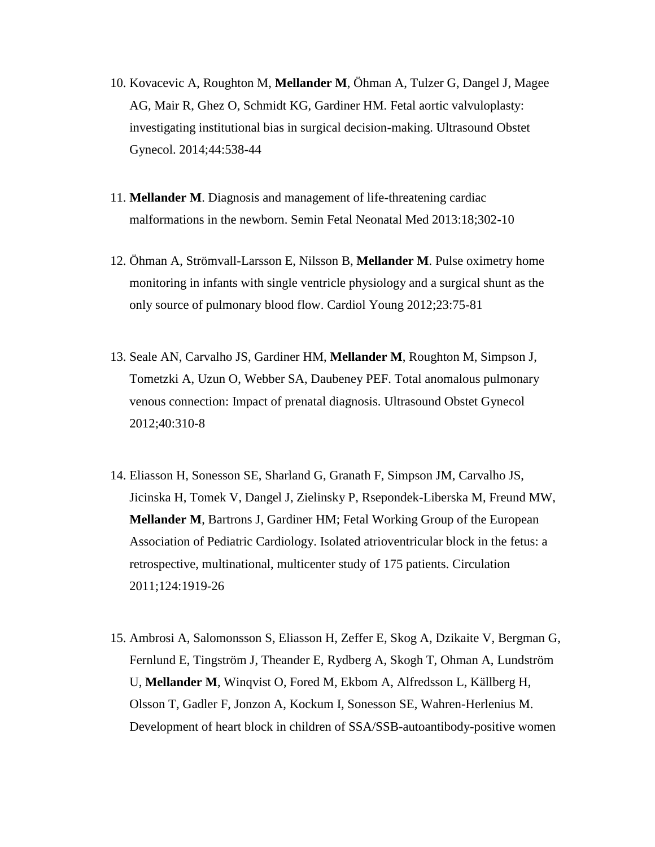- 10. Kovacevic A, Roughton M, **Mellander M**, Öhman A, Tulzer G, Dangel J, Magee AG, Mair R, Ghez O, Schmidt KG, Gardiner HM. Fetal aortic valvuloplasty: investigating institutional bias in surgical decision-making. Ultrasound Obstet Gynecol. 2014;44:538-44
- 11. **Mellander M**. Diagnosis and management of life-threatening cardiac malformations in the newborn. Semin Fetal Neonatal Med 2013:18;302-10
- 12. Öhman A, Strömvall-Larsson E, Nilsson B, **Mellander M**. Pulse oximetry home monitoring in infants with single ventricle physiology and a surgical shunt as the only source of pulmonary blood flow. Cardiol Young 2012;23:75-81
- 13. Seale AN, Carvalho JS, Gardiner HM, **Mellander M**, Roughton M, Simpson J, Tometzki A, Uzun O, Webber SA, Daubeney PEF. Total anomalous pulmonary venous connection: Impact of prenatal diagnosis. Ultrasound Obstet Gynecol 2012;40:310-8
- 14. Eliasson H, Sonesson SE, Sharland G, Granath F, Simpson JM, Carvalho JS, Jicinska H, Tomek V, Dangel J, Zielinsky P, Rsepondek-Liberska M, Freund MW, **Mellander M**, Bartrons J, Gardiner HM; Fetal Working Group of the European Association of Pediatric Cardiology. Isolated atrioventricular block in the fetus: a retrospective, multinational, multicenter study of 175 patients. Circulation 2011;124:1919-26
- 15. Ambrosi A, Salomonsson S, Eliasson H, Zeffer E, Skog A, Dzikaite V, Bergman G, Fernlund E, Tingström J, Theander E, Rydberg A, Skogh T, Ohman A, Lundström U, **Mellander M**, Winqvist O, Fored M, Ekbom A, Alfredsson L, Källberg H, Olsson T, Gadler F, Jonzon A, Kockum I, Sonesson SE, Wahren-Herlenius M. Development of heart block in children of SSA/SSB-autoantibody-positive women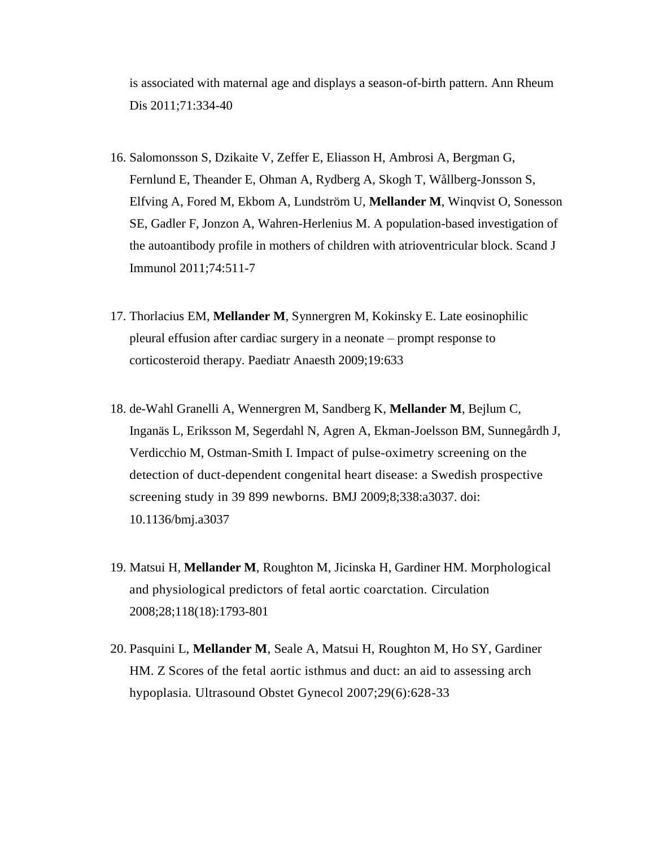is associated with maternal age and displays a season-of-birth pattern. Ann Rheum Dis 2011;71:334-40

- 16. Salomonsson S, Dzikaite V, Zeffer E, Eliasson H, Ambrosi A, Bergman G, Fernlund E, Theander E, Ohman A, Rydberg A, Skogh T, Wållberg-Jonsson S, Elfving A, Fored M, Ekbom A, Lundström U, **Mellander M**, Winqvist O, Sonesson SE, Gadler F, Jonzon A, Wahren-Herlenius M. A population-based investigation of the autoantibody profile in mothers of children with atrioventricular block. Scand J Immunol 2011;74:511-7
- 17. Thorlacius EM, **Mellander M**, Synnergren M, Kokinsky E. Late eosinophilic pleural effusion after cardiac surgery in a neonate – prompt response to corticosteroid therapy. Paediatr Anaesth 2009;19:633
- 18. de-Wahl Granelli A, Wennergren M, Sandberg K, **Mellander M**, Bejlum C, Inganäs L, Eriksson M, Segerdahl N, Agren A, Ekman-Joelsson BM, Sunnegårdh J, Verdicchio M, Ostman-Smith I. Impact of pulse-oximetry screening on the detection of duct-dependent congenital heart disease: a Swedish prospective screening study in 39 899 newborns. BMJ 2009;8;338:a3037. doi: 10.1136/bmj.a3037
- 19. Matsui H, **Mellander M**, Roughton M, Jicinska H, Gardiner HM. Morphological and physiological predictors of fetal aortic coarctation. Circulation 2008;28;118(18):1793-801
- 20. Pasquini L, **Mellander M**, Seale A, Matsui H, Roughton M, Ho SY, Gardiner HM. Z Scores of the fetal aortic isthmus and duct: an aid to assessing arch hypoplasia. Ultrasound Obstet Gynecol 2007;29(6):628-33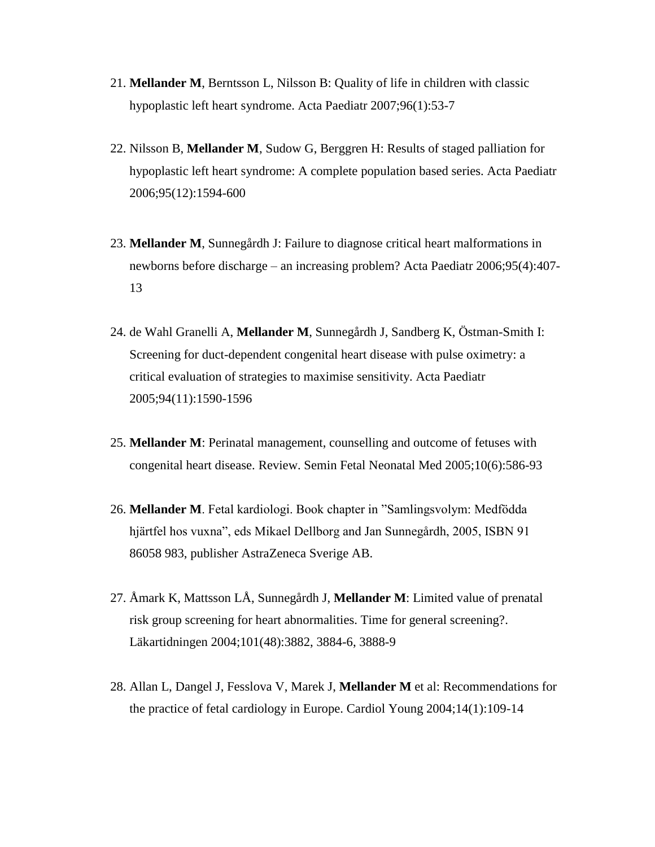- 21. **Mellander M**, Berntsson L, Nilsson B: Quality of life in children with classic hypoplastic left heart syndrome. Acta Paediatr 2007;96(1):53-7
- 22. Nilsson B, **Mellander M**, Sudow G, Berggren H: Results of staged palliation for hypoplastic left heart syndrome: A complete population based series. Acta Paediatr 2006;95(12):1594-600
- 23. **Mellander M**, Sunnegårdh J: Failure to diagnose critical heart malformations in newborns before discharge – an increasing problem? Acta Paediatr 2006;95(4):407- 13
- 24. de Wahl Granelli A, **Mellander M**, Sunnegårdh J, Sandberg K, Östman-Smith I: Screening for duct-dependent congenital heart disease with pulse oximetry: a critical evaluation of strategies to maximise sensitivity. Acta Paediatr 2005;94(11):1590-1596
- 25. **Mellander M**: Perinatal management, counselling and outcome of fetuses with congenital heart disease. Review. Semin Fetal Neonatal Med 2005;10(6):586-93
- 26. **Mellander M**. Fetal kardiologi. Book chapter in "Samlingsvolym: Medfödda hjärtfel hos vuxna", eds Mikael Dellborg and Jan Sunnegårdh, 2005, ISBN 91 86058 983, publisher AstraZeneca Sverige AB.
- 27. Åmark K, Mattsson LÅ, Sunnegårdh J, **Mellander M**: Limited value of prenatal risk group screening for heart abnormalities. Time for general screening?. Läkartidningen 2004;101(48):3882, 3884-6, 3888-9
- 28. Allan L, Dangel J, Fesslova V, Marek J, **Mellander M** et al: Recommendations for the practice of fetal cardiology in Europe. Cardiol Young 2004;14(1):109-14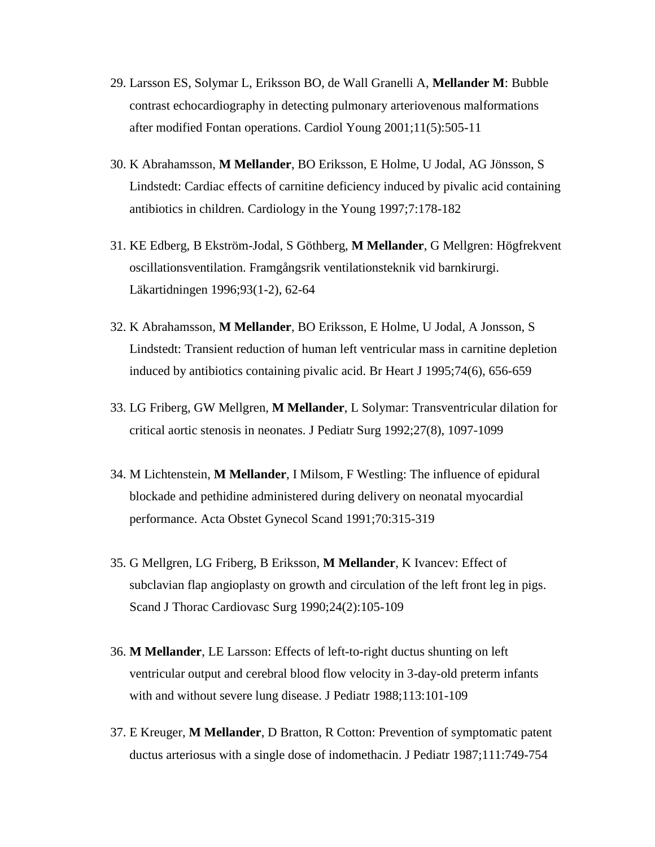- 29. Larsson ES, Solymar L, Eriksson BO, de Wall Granelli A, **Mellander M**: Bubble contrast echocardiography in detecting pulmonary arteriovenous malformations after modified Fontan operations. Cardiol Young 2001;11(5):505-11
- 30. K Abrahamsson, **M Mellander**, BO Eriksson, E Holme, U Jodal, AG Jönsson, S Lindstedt: Cardiac effects of carnitine deficiency induced by pivalic acid containing antibiotics in children. Cardiology in the Young 1997;7:178-182
- 31. KE Edberg, B Ekström-Jodal, S Göthberg, **M Mellander**, G Mellgren: Högfrekvent oscillationsventilation. Framgångsrik ventilationsteknik vid barnkirurgi. Läkartidningen 1996;93(1-2), 62-64
- 32. K Abrahamsson, **M Mellander**, BO Eriksson, E Holme, U Jodal, A Jonsson, S Lindstedt: Transient reduction of human left ventricular mass in carnitine depletion induced by antibiotics containing pivalic acid. Br Heart J 1995;74(6), 656-659
- 33. LG Friberg, GW Mellgren, **M Mellander**, L Solymar: Transventricular dilation for critical aortic stenosis in neonates. J Pediatr Surg 1992;27(8), 1097-1099
- 34. M Lichtenstein, **M Mellander**, I Milsom, F Westling: The influence of epidural blockade and pethidine administered during delivery on neonatal myocardial performance. Acta Obstet Gynecol Scand 1991;70:315-319
- 35. G Mellgren, LG Friberg, B Eriksson, **M Mellander**, K Ivancev: Effect of subclavian flap angioplasty on growth and circulation of the left front leg in pigs. Scand J Thorac Cardiovasc Surg 1990;24(2):105-109
- 36. **M Mellander**, LE Larsson: Effects of left-to-right ductus shunting on left ventricular output and cerebral blood flow velocity in 3-day-old preterm infants with and without severe lung disease. J Pediatr 1988;113:101-109
- 37. E Kreuger, **M Mellander**, D Bratton, R Cotton: Prevention of symptomatic patent ductus arteriosus with a single dose of indomethacin. J Pediatr 1987;111:749-754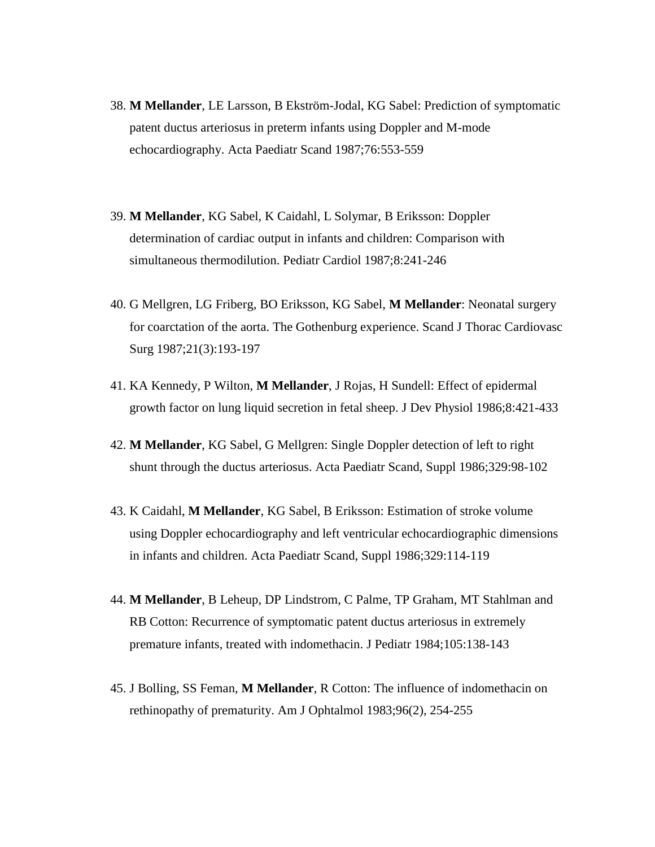- 38. **M Mellander**, LE Larsson, B Ekström-Jodal, KG Sabel: Prediction of symptomatic patent ductus arteriosus in preterm infants using Doppler and M-mode echocardiography. Acta Paediatr Scand 1987;76:553-559
- 39. **M Mellander**, KG Sabel, K Caidahl, L Solymar, B Eriksson: Doppler determination of cardiac output in infants and children: Comparison with simultaneous thermodilution. Pediatr Cardiol 1987;8:241-246
- 40. G Mellgren, LG Friberg, BO Eriksson, KG Sabel, **M Mellander**: Neonatal surgery for coarctation of the aorta. The Gothenburg experience. Scand J Thorac Cardiovasc Surg 1987;21(3):193-197
- 41. KA Kennedy, P Wilton, **M Mellander**, J Rojas, H Sundell: Effect of epidermal growth factor on lung liquid secretion in fetal sheep. J Dev Physiol 1986;8:421-433
- 42. **M Mellander**, KG Sabel, G Mellgren: Single Doppler detection of left to right shunt through the ductus arteriosus. Acta Paediatr Scand, Suppl 1986;329:98-102
- 43. K Caidahl, **M Mellander**, KG Sabel, B Eriksson: Estimation of stroke volume using Doppler echocardiography and left ventricular echocardiographic dimensions in infants and children. Acta Paediatr Scand, Suppl 1986;329:114-119
- 44. **M Mellander**, B Leheup, DP Lindstrom, C Palme, TP Graham, MT Stahlman and RB Cotton: Recurrence of symptomatic patent ductus arteriosus in extremely premature infants, treated with indomethacin. J Pediatr 1984;105:138-143
- 45. J Bolling, SS Feman, **M Mellander**, R Cotton: The influence of indomethacin on rethinopathy of prematurity. Am J Ophtalmol 1983;96(2), 254-255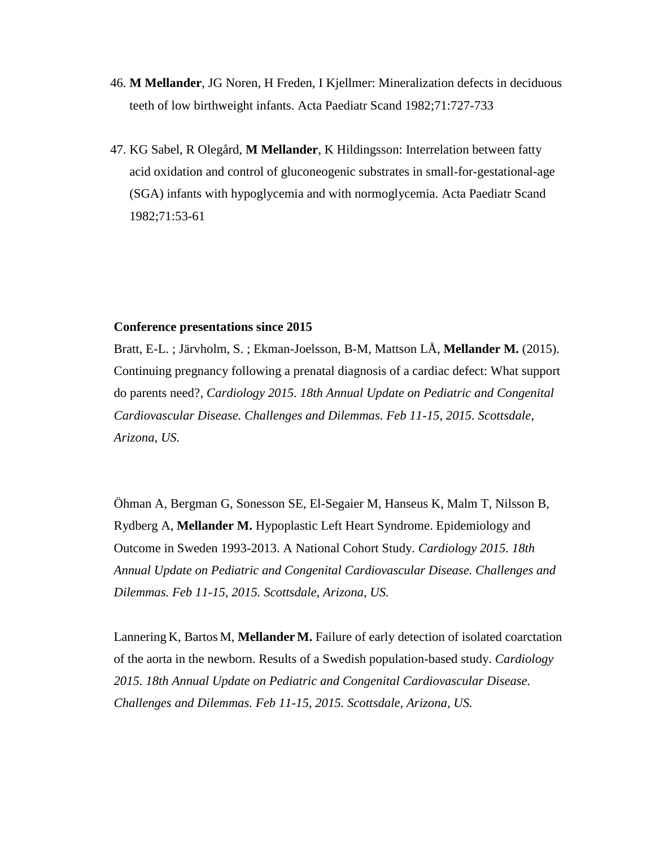- 46. **M Mellander**, JG Noren, H Freden, I Kjellmer: Mineralization defects in deciduous teeth of low birthweight infants. Acta Paediatr Scand 1982;71:727-733
- 47. KG Sabel, R Olegård, **M Mellander**, K Hildingsson: Interrelation between fatty acid oxidation and control of gluconeogenic substrates in small-for-gestational-age (SGA) infants with hypoglycemia and with normoglycemia. Acta Paediatr Scand 1982;71:53-61

#### **Conference presentations since 2015**

Bratt, E-L. ; Järvholm, S. ; Ekman-Joelsson, B-M, Mattson LÅ, **Mellander M.** (2015). Continuing pregnancy following a prenatal diagnosis of a cardiac defect: What support do parents need?, *Cardiology 2015. 18th Annual Update on Pediatric and Congenital Cardiovascular Disease. Challenges and Dilemmas. Feb 11-15, 2015. Scottsdale, Arizona, US.*

Öhman A, Bergman G, Sonesson SE, El-Segaier M, Hanseus K, Malm T, Nilsson B, Rydberg A, **Mellander M.** Hypoplastic Left Heart Syndrome. Epidemiology and Outcome in Sweden 1993-2013. A National Cohort Study. *Cardiology 2015. 18th Annual Update on Pediatric and Congenital Cardiovascular Disease. Challenges and Dilemmas. Feb 11-15, 2015. Scottsdale, Arizona, US.*

Lannering K, Bartos M, **Mellander M.** Failure of early detection of isolated coarctation of the aorta in the newborn. Results of a Swedish population-based study. *Cardiology 2015. 18th Annual Update on Pediatric and Congenital Cardiovascular Disease. Challenges and Dilemmas. Feb 11-15, 2015. Scottsdale, Arizona, US.*